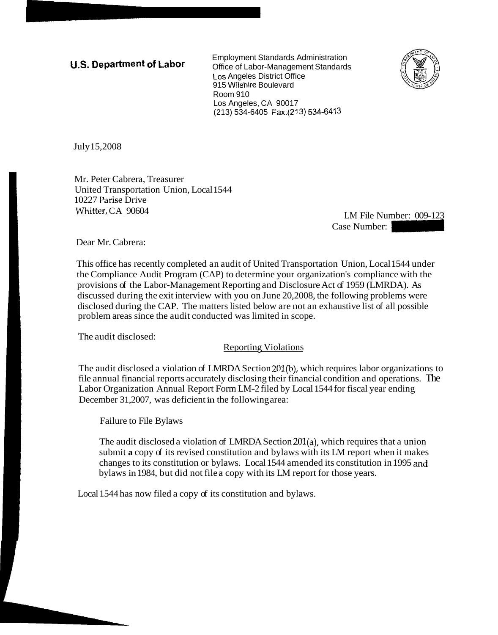**U.S. Department of Labor** Employment Standards Administration<br>Office of Labor Chappeneement Standards Office of Labor-Management Standards LOS Angeles District Office 915 Wilshire Boulevard Room 910 Los Angeles, CA 90017 (213) 534-6405 Fax:(213) 534-6413



July 15,2008

Mr. Peter Cabrera, Treasurer United Transportation Union, Local 1544 10227 Parise Drive Whitter, CA 90604

LM File Number: 009-123 Case Number: 009-123<br>Case Number: 009-123<br>Case Number: 2009-123<br>pn Union, Local 1544 under

Dear Mr. Cabrera:

This office has recently completed an audit of United Transportation Union, Local 1544 under the Compliance Audit Program (CAP) to determine your organization's compliance with the provisions of the Labor-Management Reporting and Disclosure Act of 1959 (LMRDA). As discussed during the exit interview with you on June 20,2008, the following problems were disclosed during the CAP. The matters listed below are not an exhaustive list of all possible problem areas since the audit conducted was limited in scope.

The audit disclosed:

**Reporting Violations** 

The audit disclosed a violation of LMRDA Section 201(b), which requires labor organizations to file annual financial reports accurately disclosing their financial condition and operations. The Labor Organization Annual Report Form LM-2 filed by Local 1544 for fiscal year ending December 31,2007, was deficient in the following area:

Failure to File Bylaws

The audit disclosed a violation of LMRDA Section 201(a), which requires that a union submit **a** copy of its revised constitution and bylaws with its LM report when it makes changes to its constitution or bylaws. Local 1544 amended its constitution in 1995 md bylaws in 1984, but did not file a copy with its LM report for those years.

Local 1544 has now filed a copy of its constitution and bylaws.